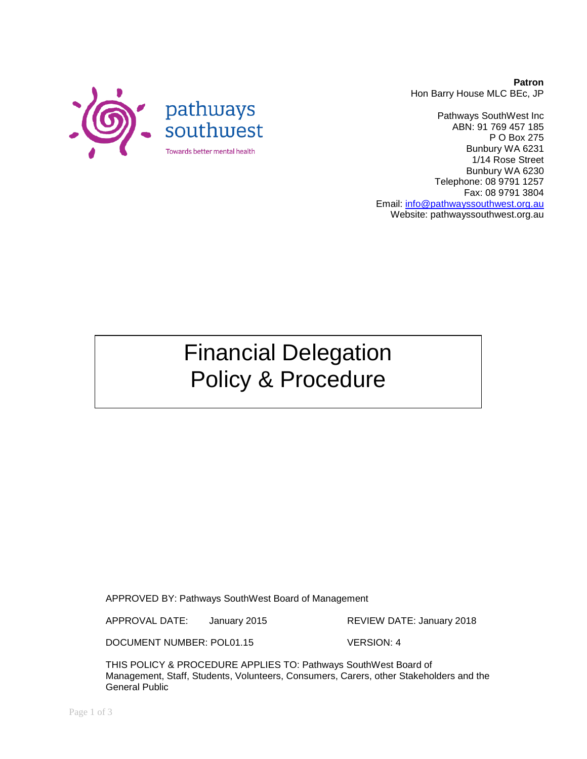

Pathways SouthWest Inc ABN: 91 769 457 185 P O Box 275 Bunbury WA 6231 1/14 Rose Street Bunbury WA 6230 Telephone: 08 9791 1257 Fax: 08 9791 3804 Email: [info@pathwayssouthwest.org.au](mailto:info@pathwayssouthwest.org.au) Website: pathwayssouthwest.org.au

Financial Delegation Policy & Procedure

APPROVED BY: Pathways SouthWest Board of Management

APPROVAL DATE: January 2015 REVIEW DATE: January 2018

DOCUMENT NUMBER: POL01.15 VERSION: 4

THIS POLICY & PROCEDURE APPLIES TO: Pathways SouthWest Board of Management, Staff, Students, Volunteers, Consumers, Carers, other Stakeholders and the General Public

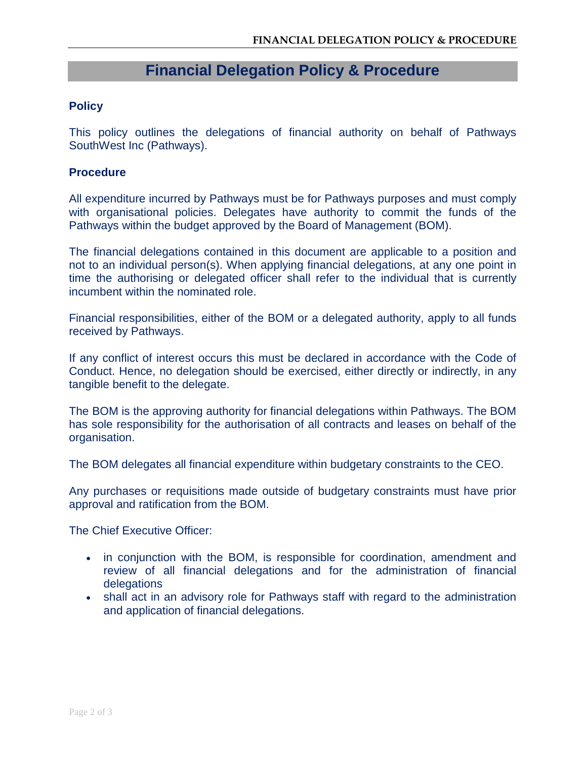## **Financial Delegation Policy & Procedure**

## **Policy**

This policy outlines the delegations of financial authority on behalf of Pathways SouthWest Inc (Pathways).

## **Procedure**

All expenditure incurred by Pathways must be for Pathways purposes and must comply with organisational policies. Delegates have authority to commit the funds of the Pathways within the budget approved by the Board of Management (BOM).

The financial delegations contained in this document are applicable to a position and not to an individual person(s). When applying financial delegations, at any one point in time the authorising or delegated officer shall refer to the individual that is currently incumbent within the nominated role.

Financial responsibilities, either of the BOM or a delegated authority, apply to all funds received by Pathways.

If any conflict of interest occurs this must be declared in accordance with the Code of Conduct. Hence, no delegation should be exercised, either directly or indirectly, in any tangible benefit to the delegate.

The BOM is the approving authority for financial delegations within Pathways. The BOM has sole responsibility for the authorisation of all contracts and leases on behalf of the organisation.

The BOM delegates all financial expenditure within budgetary constraints to the CEO.

Any purchases or requisitions made outside of budgetary constraints must have prior approval and ratification from the BOM.

The Chief Executive Officer:

- in conjunction with the BOM, is responsible for coordination, amendment and review of all financial delegations and for the administration of financial delegations
- shall act in an advisory role for Pathways staff with regard to the administration and application of financial delegations.